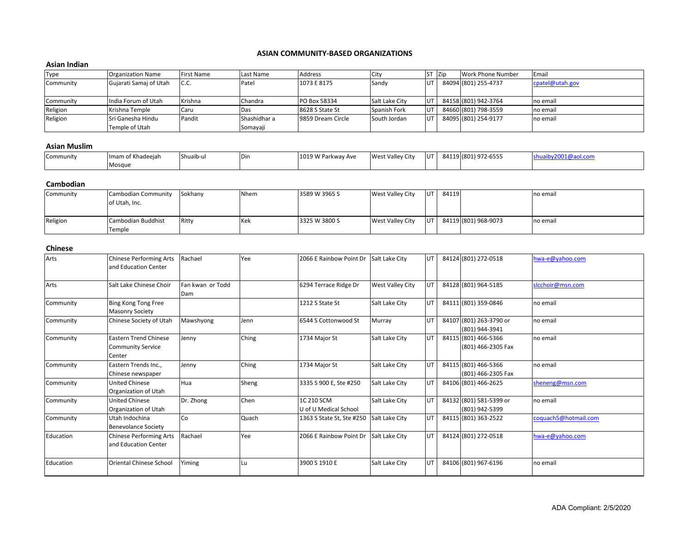#### **ASIAN COMMUNITY-BASED ORGANIZATIONS**

## **Asian Indian**

| <b>Type</b> | <b>Organization Name</b> | First Name | Last Name    | Address           | City           | ST Zip     | Work Phone Number    | Email           |
|-------------|--------------------------|------------|--------------|-------------------|----------------|------------|----------------------|-----------------|
| Community   | Gujarati Samaj of Utah   | C.C.       | Patel        | 1073 E 8175       | Sandy          |            | 84094 (801) 255-4737 | cpatel@utah.gov |
|             |                          |            |              |                   |                |            |                      |                 |
| Community   | India Forum of Utah      | Krishna    | Chandra      | PO Box 58334      | Salt Lake City | <b>UT</b>  | 84158 (801) 942-3764 | no email        |
| Religion    | Krishna Temple           | Caru       | <b>IDas</b>  | 8628 S State St   | Spanish Fork   | UT.        | 84660 (801) 798-3559 | no email        |
| Religion    | Sri Ganesha Hindu        | Pandit     | Shashidhar a | 9859 Dream Circle | South Jordan   | <b>IUT</b> | 84095 (801) 254-9177 | no email        |
|             | Temple of Utah           |            | Somayaji     |                   |                |            |                      |                 |

# **Asian Muslim**

| Community | $  -$<br>Ilmam of Khadeeiah | Shuaib-ul | Din | 1019<br>9 W Parkway Ave | <b>West Valley City</b> | <b>IUT</b> | 84119 | (801) 972-6555<br>$9/2 - 6555$ | ' L@aoi.com |
|-----------|-----------------------------|-----------|-----|-------------------------|-------------------------|------------|-------|--------------------------------|-------------|
|           | Mosque                      |           |     |                         |                         |            |       |                                |             |

### **Cambodian**

| Community | Cambodian Community | Sokhany | Nhem | 3589 W 3965 S | West Valley City | lut.      | 84119 |                      | no email  |
|-----------|---------------------|---------|------|---------------|------------------|-----------|-------|----------------------|-----------|
|           | of Utah, Inc.       |         |      |               |                  |           |       |                      |           |
|           |                     |         |      |               |                  |           |       |                      |           |
| Religion  | Cambodian Buddhist  | Ritty   | Kek  | 3325 W 3800 S | West Valley City | <b>UT</b> |       | 84119 (801) 968-9073 | Ino email |
|           | Temple              |         |      |               |                  |           |       |                      |           |

## **Chinese**

| Arts      | <b>Chinese Performing Arts</b><br>and Education Center             | Rachael                 | Yee         | 2066 E Rainbow Point Dr             | Salt Lake City   | UT        | 84124 (801) 272-0518                       | hwa-e@yahoo.com      |
|-----------|--------------------------------------------------------------------|-------------------------|-------------|-------------------------------------|------------------|-----------|--------------------------------------------|----------------------|
| Arts      | Salt Lake Chinese Choir                                            | Fan kwan or Todd<br>Dam |             | 6294 Terrace Ridge Dr               | West Valley City | UT        | 84128 (801) 964-5185                       | slcchoir@msn.com     |
| Community | Bing Kong Tong Free<br><b>Masonry Society</b>                      |                         |             | 1212 S State St                     | Salt Lake City   | <b>UT</b> | 84111 (801) 359-0846                       | no email             |
| Community | Chinese Society of Utah                                            | Mawshyong               | <b>Jenn</b> | 6544 S Cottonwood St                | Murray           | UT.       | 84107 (801) 263-3790 or<br>(801) 944-3941  | no email             |
| Community | <b>Eastern Trend Chinese</b><br><b>Community Service</b><br>Center | Jenny                   | Ching       | 1734 Major St                       | Salt Lake City   | UT.       | 84115 (801) 466-5366<br>(801) 466-2305 Fax | no email             |
| Community | Eastern Trends Inc.,<br>Chinese newspaper                          | Jenny                   | Ching       | 1734 Major St                       | Salt Lake City   | UT.       | 84115 (801) 466-5366<br>(801) 466-2305 Fax | no email             |
| Community | <b>United Chinese</b><br>Organization of Utah                      | Hua                     | Sheng       | 3335 S 900 E, Ste #250              | Salt Lake City   | UT        | 84106 (801) 466-2625                       | sheneng@msn.com      |
| Community | <b>United Chinese</b><br>Organization of Utah                      | Dr. Zhong               | Chen        | 1C 210 SCM<br>U of U Medical School | Salt Lake City   | UT        | 84132 (801) 581-5399 or<br>(801) 942-5399  | no email             |
| Community | Utah Indochina<br><b>Benevolance Society</b>                       | <b>Co</b>               | Quach       | 1363 S State St, Ste #250           | Salt Lake City   | UT.       | 84115 (801) 363-2522                       | coquach5@hotmail.com |
| Education | <b>Chinese Performing Arts</b><br>and Education Center             | Rachael                 | Yee         | 2066 E Rainbow Point Dr             | Salt Lake City   | UT.       | 84124 (801) 272-0518                       | hwa-e@yahoo.com      |
| Education | <b>Oriental Chinese School</b>                                     | Yiming                  | l Lu        | 3900 S 1910 E                       | Salt Lake City   | UT.       | 84106 (801) 967-6196                       | no email             |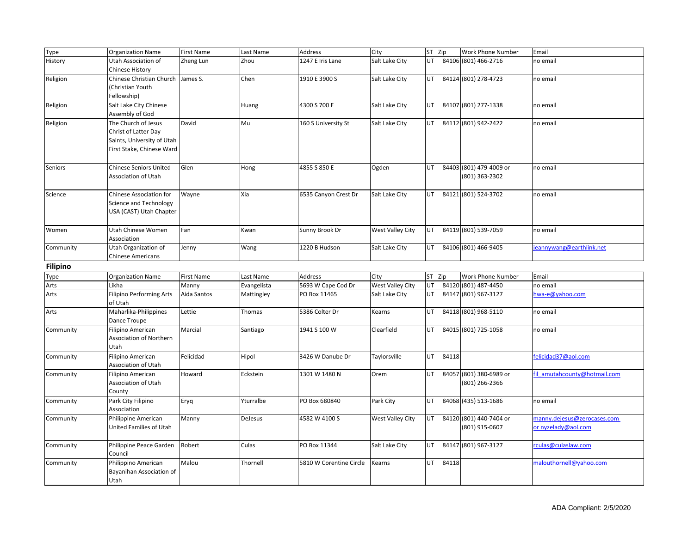| Type            | <b>Organization Name</b>                                                                               | <b>First Name</b> | Last Name   | Address                 | City             | ST Zip |       | Work Phone Number                         | Email                                              |
|-----------------|--------------------------------------------------------------------------------------------------------|-------------------|-------------|-------------------------|------------------|--------|-------|-------------------------------------------|----------------------------------------------------|
| History         | Utah Association of<br><b>Chinese History</b>                                                          | Zheng Lun         | Zhou        | 1247 E Iris Lane        | Salt Lake City   | UT     |       | 84106 (801) 466-2716                      | no email                                           |
| Religion        | Chinese Christian Church James S.<br>(Christian Youth<br>Fellowship)                                   |                   | Chen        | 1910 E 3900 S           | Salt Lake City   | UT     |       | 84124 (801) 278-4723                      | no email                                           |
| Religion        | Salt Lake City Chinese<br>Assembly of God                                                              |                   | Huang       | 4300 S 700 E            | Salt Lake City   | UT     |       | 84107 (801) 277-1338                      | no email                                           |
| Religion        | The Church of Jesus<br>Christ of Latter Day<br>Saints, University of Utah<br>First Stake, Chinese Ward | David             | Mu          | 160 S University St     | Salt Lake City   | UT     |       | 84112 (801) 942-2422                      | no email                                           |
| Seniors         | <b>Chinese Seniors United</b><br>Association of Utah                                                   | Glen              | Hong        | 4855 S 850 E            | Ogden            | UT     |       | 84403 (801) 479-4009 or<br>(801) 363-2302 | no email                                           |
| Science         | <b>Chinese Association for</b><br>Science and Technology<br>USA (CAST) Utah Chapter                    | Wayne             | Xia         | 6535 Canyon Crest Dr    | Salt Lake City   | UT     |       | 84121 (801) 524-3702                      | no email                                           |
| Women           | Utah Chinese Women<br>Association                                                                      | Fan               | Kwan        | Sunny Brook Dr          | West Valley City | UT     |       | 84119 (801) 539-7059                      | no email                                           |
| Community       | Utah Organization of<br><b>Chinese Americans</b>                                                       | Jenny             | Wang        | 1220 B Hudson           | Salt Lake City   | UT     |       | 84106 (801) 466-9405                      | eannywang@earthlink.net                            |
| <b>Filipino</b> |                                                                                                        |                   |             |                         |                  |        |       |                                           |                                                    |
| Type            | <b>Organization Name</b>                                                                               | First Name        | Last Name   | Address                 | City             | ST Zip |       | Work Phone Number                         | Email                                              |
| Arts            | Likha                                                                                                  | Manny             | Evangelista | 5693 W Cape Cod Dr      | West Valley City | UT     |       | 84120 (801) 487-4450                      | no email                                           |
| Arts            | <b>Filipino Performing Arts</b><br>of Utah                                                             | Aida Santos       | Mattingley  | PO Box 11465            | Salt Lake City   | UT     |       | 84147 (801) 967-3127                      | hwa-e@yahoo.com                                    |
| Arts            | Maharlika-Philippines<br>Dance Troupe                                                                  | Lettie            | Thomas      | 5386 Colter Dr          | Kearns           | UT     |       | 84118 (801) 968-5110                      | no email                                           |
| Community       | Filipino American<br>Association of Northern<br>Utah                                                   | Marcial           | Santiago    | 1941 S 100 W            | Clearfield       | UT     |       | 84015 (801) 725-1058                      | no email                                           |
| Community       | Filipino American<br>Association of Utah                                                               | Felicidad         | Hipol       | 3426 W Danube Dr        | Taylorsville     | UT     | 84118 |                                           | felicidad37@aol.com                                |
| Community       | Filipino American<br>Association of Utah<br>County                                                     | Howard            | Eckstein    | 1301 W 1480 N           | Orem             | UT     |       | 84057 (801) 380-6989 or<br>(801) 266-2366 | fil amutahcounty@hotmail.com                       |
| Community       | Park City Filipino<br>Association                                                                      | Eryq              | Yturralbe   | PO Box 680840           | Park City        | UT     |       | 84068 (435) 513-1686                      | no email                                           |
| Community       | Philippine American<br>United Families of Utah                                                         | Manny             | DeJesus     | 4582 W 4100 S           | West Valley City | UT     |       | 84120 (801) 440-7404 or<br>(801) 915-0607 | manny.dejesus@zerocases.com<br>or nyzelady@aol.com |
| Community       | Philippine Peace Garden<br>Council                                                                     | Robert            | Culas       | PO Box 11344            | Salt Lake City   | UT     |       | 84147 (801) 967-3127                      | rculas@culaslaw.com                                |
| Community       | Philippino American<br>Bayanihan Association of<br>Utah                                                | Malou             | Thornell    | 5810 W Corentine Circle | Kearns           | UT     | 84118 |                                           | malouthornell@yahoo.com                            |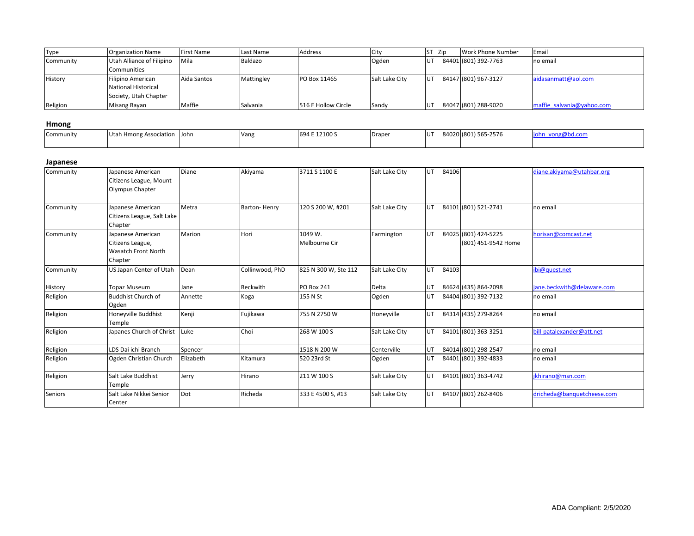| Type      | <b>Organization Name</b>  | <b>First Name</b> | Last Name  | Address             | <b>City</b>    | <b>ST</b> | <b>Zip</b> | Work Phone Number    | Email                     |
|-----------|---------------------------|-------------------|------------|---------------------|----------------|-----------|------------|----------------------|---------------------------|
| Community | Utah Alliance of Filipino | Mila              | Baldazo    |                     | Ogden          | IUT       |            | 84401 (801) 392-7763 | no email                  |
|           | Communities               |                   |            |                     |                |           |            |                      |                           |
| History   | Filipino American         | Aida Santos       | Mattingley | PO Box 11465        | Salt Lake City | <b>UT</b> |            | 84147 (801) 967-3127 | aidasanmatt@aol.com       |
|           | National Historical       |                   |            |                     |                |           |            |                      |                           |
|           | Society, Utah Chapter     |                   |            |                     |                |           |            |                      |                           |
| Religion  | Misang Bayan              | Maffie            | Salvania   | 516 E Hollow Circle | Sandy          | lut       |            | 84047 (801) 288-9020 | maffie salvania@yahoo.com |

## **Hmong**

| Community | h Hmong Association<br>.<br>Uldil | John | Vang | : 12100 S<br>694 F | Draper | UT | 84020 (801) 565-2576 | /ong@bd.com<br>опг |
|-----------|-----------------------------------|------|------|--------------------|--------|----|----------------------|--------------------|
|           |                                   |      |      |                    |        |    |                      |                    |

### **Japanese**

| Community      | Japanese American<br>Citizens League, Mount<br>Olympus Chapter          | Diane     | Akiyama         | 3711 S 1100 E            | Salt Lake City | <b>UT</b> | 84106 |                                             | diane.akiyama@utahbar.org  |
|----------------|-------------------------------------------------------------------------|-----------|-----------------|--------------------------|----------------|-----------|-------|---------------------------------------------|----------------------------|
| Community      | Japanese American<br>Citizens League, Salt Lake<br>Chapter              | Metra     | Barton-Henry    | 120 S 200 W, #201        | Salt Lake City | <b>UT</b> |       | 84101 (801) 521-2741                        | no email                   |
| Community      | Japanese American<br>Citizens League,<br>Wasatch Front North<br>Chapter | Marion    | Hori            | 1049 W.<br>Melbourne Cir | Farmington     | UT        |       | 84025 (801) 424-5225<br>(801) 451-9542 Home | horisan@comcast.net        |
| Community      | US Japan Center of Utah                                                 | Dean      | Collinwood, PhD | 825 N 300 W, Ste 112     | Salt Lake City | <b>UT</b> | 84103 |                                             | ibi@quest.net              |
| History        | Topaz Museum                                                            | Jane      | <b>Beckwith</b> | <b>PO Box 241</b>        | Delta          | UT        |       | 84624 (435) 864-2098                        | jane.beckwith@delaware.com |
| Religion       | <b>Buddhist Church of</b><br>Ogden                                      | Annette   | Koga            | 155 N St                 | Ogden          | UT        |       | 84404 (801) 392-7132                        | no email                   |
| Religion       | Honeyville Buddhist<br>Temple                                           | Kenji     | Fujikawa        | 755 N 2750 W             | Honeyville     | <b>UT</b> |       | 84314 (435) 279-8264                        | no email                   |
| Religion       | Japanes Church of Christ                                                | Luke      | Choi            | 268 W 100 S              | Salt Lake City | <b>UT</b> |       | 84101 (801) 363-3251                        | bill-patalexander@att.net  |
| Religion       | LDS Dai ichi Branch                                                     | Spencer   |                 | 1518 N 200 W             | Centerville    | UT        |       | 84014 (801) 298-2547                        | no email                   |
| Religion       | Ogden Christian Church                                                  | Elizabeth | Kitamura        | 520 23rd St              | Ogden          | UT        |       | 84401 (801) 392-4833                        | no email                   |
| Religion       | Salt Lake Buddhist<br>Temple                                            | Jerry     | Hirano          | 211 W 100 S              | Salt Lake City | <b>UT</b> |       | 84101 (801) 363-4742                        | ikhirano@msn.com           |
| <b>Seniors</b> | Salt Lake Nikkei Senior<br>Center                                       | Dot       | Richeda         | 333 E 4500 S, #13        | Salt Lake City | <b>UT</b> |       | 84107 (801) 262-8406                        | dricheda@banquetcheese.com |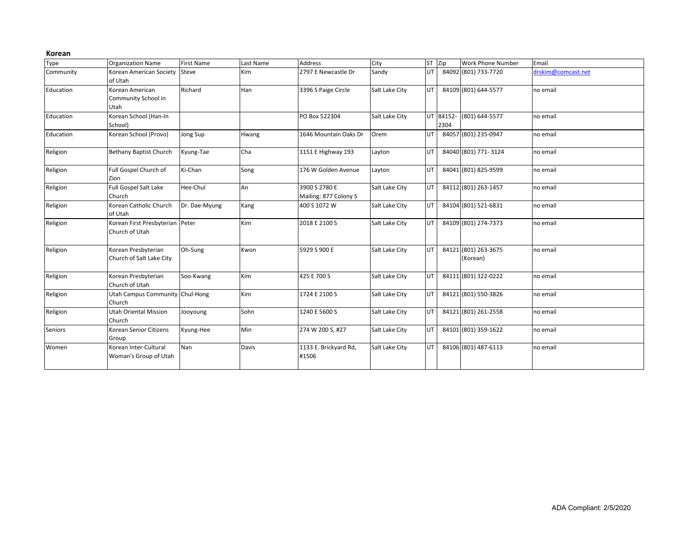#### **Korean**

| Type           | <b>Organization Name</b>                          | <b>First Name</b> | Last Name | Address                                | City           | ST Zip |                   | Work Phone Number                | Email              |
|----------------|---------------------------------------------------|-------------------|-----------|----------------------------------------|----------------|--------|-------------------|----------------------------------|--------------------|
| Community      | Korean American Society Steve<br>of Utah          |                   | Kim       | 2797 E Newcastle Dr                    | Sandy          | UT.    |                   | 84092 (801) 733-7720             | drskim@comcast.net |
| Education      | Korean American<br>Community School in<br>Utah    | Richard           | Han       | 3396 S Paige Circle                    | Salt Lake City | UT.    |                   | 84109 (801) 644-5577             | no email           |
| Education      | Korean School (Han-In<br>School)                  |                   |           | PO Box 522304                          | Salt Lake City |        | UT 84152-<br>2304 | (801) 644-5577                   | no email           |
| Education      | Korean School (Provo)                             | Jong Sup          | Hwang     | 1646 Mountain Oaks Dr                  | Orem           | UT.    |                   | 84057 (801) 235-0947             | no email           |
| Religion       | <b>Bethany Baptist Church</b>                     | Kyung-Tae         | Cha       | 1151 E Highway 193                     | Layton         | UT.    |                   | 84040 (801) 771-3124             | no email           |
| Religion       | Full Gospel Church of<br>Zion                     | Ki-Chan           | Song      | 176 W Golden Avenue                    | Layton         | UT.    |                   | 84041 (801) 825-9599             | no email           |
| Religion       | Full Gospel Salt Lake<br>Church                   | Hee-Chul          | An        | 3900 S 2780 E<br>Mailing: 877 Colony S | Salt Lake City | UT     |                   | 84112 (801) 263-1457             | no email           |
| Religion       | Korean Catholic Church<br>of Utah                 | Dr. Dae-Myung     | Kang      | 400 S 1072 W                           | Salt Lake City | UT.    |                   | 84104 (801) 521-6831             | no email           |
| Religion       | Korean First Presbyterian Peter<br>Church of Utah |                   | Kim       | 2018 E 2100 S                          | Salt Lake City | UT.    |                   | 84109 (801) 274-7373             | no email           |
| Religion       | Korean Presbyterian<br>Church of Salt Lake City   | Oh-Sung           | Kwon      | 5929 S 900 E                           | Salt Lake City | UT.    |                   | 84121 (801) 263-3675<br>(Korean) | no email           |
| Religion       | Korean Presbyterian<br>Church of Utah             | Soo-Kwang         | Kim       | 425 E 700 S                            | Salt Lake City | UT.    |                   | 84111 (801) 322-0222             | no email           |
| Religion       | Utah Campus Community Chul-Hong<br>Church         |                   | Kim       | 1724 E 2100 S                          | Salt Lake City | UT     |                   | 84121 (801) 550-3826             | no email           |
| Religion       | <b>Utah Oriental Mission</b><br>Church            | Jooyoung          | Sohn      | 1240 E 5600 S                          | Salt Lake City | UT     |                   | 84121 (801) 261-2558             | no email           |
| <b>Seniors</b> | Korean Senior Citizens<br>Group                   | Kyung-Hee         | Min       | 274 W 200 S, #27                       | Salt Lake City | UT     |                   | 84101 (801) 359-1622             | no email           |
| Women          | Korean Inter-Cultural<br>Woman's Group of Utah    | Nan               | Davis     | 1133 E. Brickyard Rd,<br>#1506         | Salt Lake City | UT     |                   | 84106 (801) 487-6113             | no email           |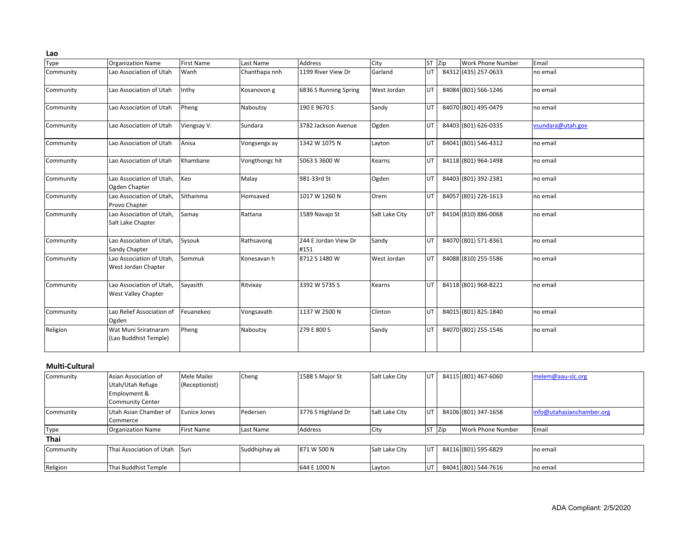| Type      | <b>Organization Name</b>                        | <b>First Name</b> | Last Name      | <b>Address</b>               | City           | ST Zip | <b>Work Phone Number</b> | Email             |
|-----------|-------------------------------------------------|-------------------|----------------|------------------------------|----------------|--------|--------------------------|-------------------|
| Community | Lao Association of Utah                         | Wanh              | Chanthapa nnh  | 1199 River View Dr           | Garland        | UT     | 84312 (435) 257-0633     | no email          |
| Community | Lao Association of Utah                         | Inthy             | Kosanovon g    | 6836 S Running Spring        | West Jordan    | UT     | 84084 (801) 566-1246     | no email          |
| Community | Lao Association of Utah                         | Pheng             | Naboutsy       | 190 E 9670 S                 | Sandy          | UT     | 84070 (801) 495-0479     | no email          |
| Community | Lao Association of Utah                         | Viengsay V.       | Sundara        | 3782 Jackson Avenue          | Ogden          | UT     | 84403 (801) 626-0335     | vsundara@utah.gov |
| Community | Lao Association of Utah                         | Anisa             | Vongsengx ay   | 1342 W 1075 N                | Layton         | UT     | 84041 (801) 546-4312     | no email          |
| Community | Lao Association of Utah                         | Khambane          | Vongthongc hit | 5063 S 3600 W                | Kearns         | UT     | 84118 (801) 964-1498     | no email          |
| Community | Lao Association of Utah,<br>Ogden Chapter       | Keo               | Malay          | 981-33rd St                  | Ogden          | UT     | 84403 (801) 392-2381     | no email          |
| Community | Lao Association of Utah,<br>Provo Chapter       | Sithamma          | Homsaved       | 1017 W 1260 N                | Orem           | UT     | 84057 (801) 226-1613     | no email          |
| Community | Lao Association of Utah.<br>Salt Lake Chapter   | Samay             | Rattana        | 1589 Navajo St               | Salt Lake City | UT     | 84104 (810) 886-0068     | no email          |
| Community | Lao Association of Utah.<br>Sandy Chapter       | Sysouk            | Rathsavong     | 244 E Jordan View Dr<br>#151 | Sandy          | UT     | 84070 (801) 571-8361     | no email          |
| Community | Lao Association of Utah.<br>West Jordan Chapter | Sommuk            | Konesavan h    | 8712 S 1480 W                | West Jordan    | UT.    | 84088 (810) 255-5586     | no email          |
| Community | Lao Association of Utah,<br>West Valley Chapter | Sayasith          | Ritvixay       | 3392 W 5735 S                | Kearns         | UT.    | 84118 (801) 968-8221     | no email          |
| Community | Lao Relief Association of<br>Ogden              | Feuanekeo         | Vongsavath     | 1137 W 2500 N                | Clinton        | UT     | 84015 (801) 825-1840     | no email          |
| Religion  | Wat Muni Sriratnaram<br>(Lao Buddhist Temple)   | Pheng             | Naboutsy       | 279 E 800 S                  | Sandy          | UT     | 84070 (801) 255-1546     | no email          |

## **Multi-Cultural**

| Community   | Asian Association of              | Mele Mailei       | Cheng         | 1588 S Major St    | Salt Lake City | <b>UT</b> |            | 84115 (801) 467-6060 | melem@aau-slc.org         |
|-------------|-----------------------------------|-------------------|---------------|--------------------|----------------|-----------|------------|----------------------|---------------------------|
|             | Utah/Utah Refuge                  | (Receptionist)    |               |                    |                |           |            |                      |                           |
|             | Employment &                      |                   |               |                    |                |           |            |                      |                           |
|             | Community Center                  |                   |               |                    |                |           |            |                      |                           |
| Community   | Utah Asian Chamber of<br>Commerce | Eunice Jones      | Pedersen      | 3776 S Highland Dr | Salt Lake City | UT        |            | 84106 (801) 347-1658 | info@utahasianchamber.org |
| Type        | <b>Organization Name</b>          | <b>First Name</b> | Last Name     | Address            | City           | <b>ST</b> | <b>Zip</b> | Work Phone Number    | Email                     |
| <b>Thai</b> |                                   |                   |               |                    |                |           |            |                      |                           |
| Community   | Thai Association of Utah          | <b>Suri</b>       | Suddhiphay ak | 871 W 500 N        | Salt Lake City | <b>UT</b> |            | 84116 (801) 595-6829 | no email                  |
| Religion    | Thai Buddhist Temple              |                   |               | 644 E 1000 N       | Layton         | UT        |            | 84041 (801) 544-7616 | no email                  |

**Lao**